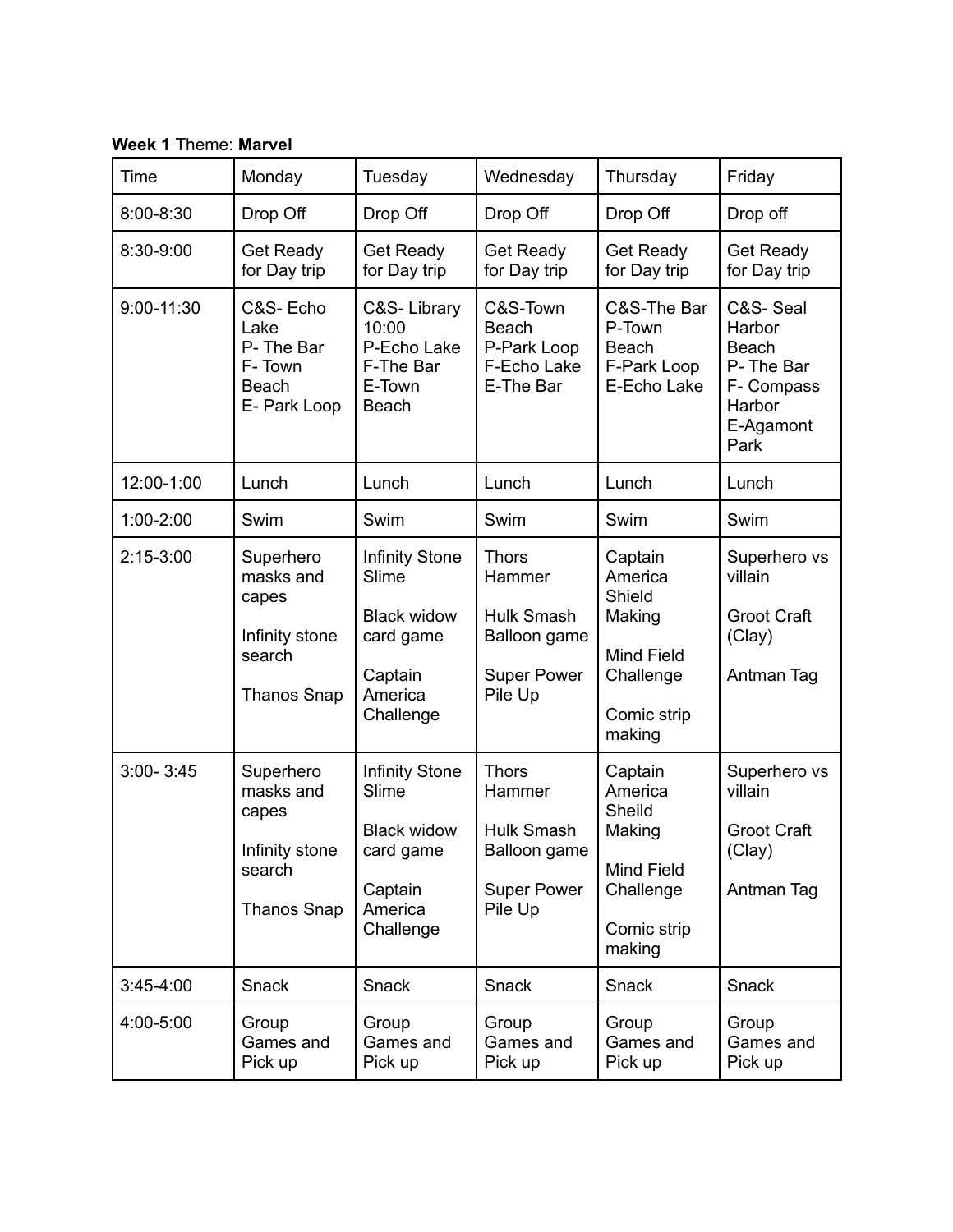**Week 1** Theme: **Marvel**

| Time          | Monday                                                                            | Tuesday                                                                                              | Wednesday                                                                                           | Thursday                                                                                          | Friday                                                                                |
|---------------|-----------------------------------------------------------------------------------|------------------------------------------------------------------------------------------------------|-----------------------------------------------------------------------------------------------------|---------------------------------------------------------------------------------------------------|---------------------------------------------------------------------------------------|
| 8:00-8:30     | Drop Off                                                                          | Drop Off                                                                                             | Drop Off                                                                                            | Drop Off                                                                                          | Drop off                                                                              |
| 8:30-9:00     | <b>Get Ready</b><br>for Day trip                                                  | <b>Get Ready</b><br>for Day trip                                                                     | Get Ready<br>for Day trip                                                                           | <b>Get Ready</b><br>for Day trip                                                                  | <b>Get Ready</b><br>for Day trip                                                      |
| 9:00-11:30    | C&S-Echo<br>Lake<br>P-The Bar<br>F-Town<br>Beach<br>E- Park Loop                  | C&S-Library<br>10:00<br>P-Echo Lake<br>F-The Bar<br>E-Town<br><b>Beach</b>                           | C&S-Town<br><b>Beach</b><br>P-Park Loop<br>F-Echo Lake<br>E-The Bar                                 | C&S-The Bar<br>P-Town<br><b>Beach</b><br>F-Park Loop<br>E-Echo Lake                               | C&S-Seal<br>Harbor<br>Beach<br>P-The Bar<br>F- Compass<br>Harbor<br>E-Agamont<br>Park |
| 12:00-1:00    | Lunch                                                                             | Lunch                                                                                                | Lunch                                                                                               | Lunch                                                                                             | Lunch                                                                                 |
| $1:00 - 2:00$ | Swim                                                                              | Swim                                                                                                 | Swim                                                                                                | Swim                                                                                              | Swim                                                                                  |
| $2:15-3:00$   | Superhero<br>masks and<br>capes<br>Infinity stone<br>search<br><b>Thanos Snap</b> | <b>Infinity Stone</b><br>Slime<br><b>Black widow</b><br>card game<br>Captain<br>America<br>Challenge | <b>Thors</b><br>Hammer<br><b>Hulk Smash</b><br><b>Balloon</b> game<br><b>Super Power</b><br>Pile Up | Captain<br>America<br>Shield<br>Making<br><b>Mind Field</b><br>Challenge<br>Comic strip<br>making | Superhero vs<br>villain<br><b>Groot Craft</b><br>(Clay)<br>Antman Tag                 |
| $3:00 - 3:45$ | Superhero<br>masks and<br>capes<br>Infinity stone<br>search<br><b>Thanos Snap</b> | <b>Infinity Stone</b><br>Slime<br><b>Black widow</b><br>card game<br>Captain<br>America<br>Challenge | <b>Thors</b><br>Hammer<br>Hulk Smash<br>Balloon game<br><b>Super Power</b><br>Pile Up               | Captain<br>America<br>Sheild<br>Making<br>Mind Field<br>Challenge<br>Comic strip<br>making        | Superhero vs<br>villain<br><b>Groot Craft</b><br>(Clay)<br>Antman Tag                 |
| $3:45-4:00$   | Snack                                                                             | Snack                                                                                                | <b>Snack</b>                                                                                        | Snack                                                                                             | Snack                                                                                 |
| 4:00-5:00     | Group<br>Games and<br>Pick up                                                     | Group<br>Games and<br>Pick up                                                                        | Group<br>Games and<br>Pick up                                                                       | Group<br>Games and<br>Pick up                                                                     | Group<br>Games and<br>Pick up                                                         |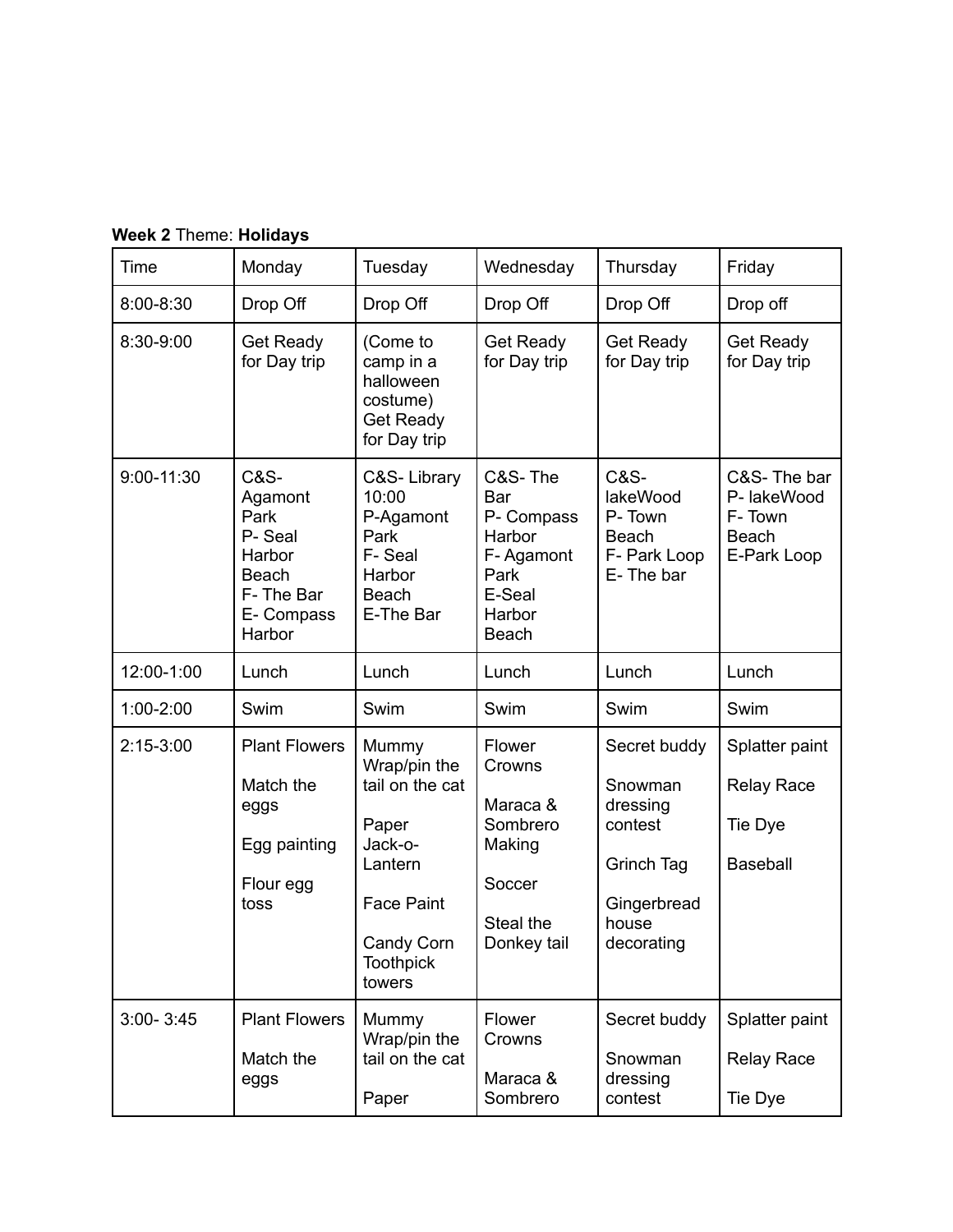|  |  | Week 2 Theme: Holidays |
|--|--|------------------------|
|--|--|------------------------|

| Time          | Monday                                                                                               | Tuesday                                                                                                                                  | Wednesday                                                                                       | Thursday                                                                                           | Friday                                                            |
|---------------|------------------------------------------------------------------------------------------------------|------------------------------------------------------------------------------------------------------------------------------------------|-------------------------------------------------------------------------------------------------|----------------------------------------------------------------------------------------------------|-------------------------------------------------------------------|
| 8:00-8:30     | Drop Off                                                                                             | Drop Off                                                                                                                                 | Drop Off                                                                                        | Drop Off                                                                                           | Drop off                                                          |
| 8:30-9:00     | <b>Get Ready</b><br>for Day trip                                                                     | (Come to<br>camp in a<br>halloween<br>costume)<br>Get Ready<br>for Day trip                                                              | Get Ready<br>for Day trip                                                                       | <b>Get Ready</b><br>for Day trip                                                                   | <b>Get Ready</b><br>for Day trip                                  |
| $9:00-11:30$  | <b>C&amp;S-</b><br>Agamont<br>Park<br>P-Seal<br>Harbor<br>Beach<br>F-The Bar<br>E- Compass<br>Harbor | C&S-Library<br>10:00<br>P-Agamont<br>Park<br>F-Seal<br>Harbor<br>Beach<br>E-The Bar                                                      | C&S-The<br>Bar<br>P- Compass<br>Harbor<br>F-Agamont<br>Park<br>E-Seal<br>Harbor<br><b>Beach</b> | <b>C&amp;S-</b><br>lakeWood<br>P-Town<br><b>Beach</b><br>F- Park Loop<br>E-The bar                 | C&S-The bar<br>P- lakeWood<br>F-Town<br>Beach<br>E-Park Loop      |
| 12:00-1:00    | Lunch                                                                                                | Lunch                                                                                                                                    | Lunch                                                                                           | Lunch                                                                                              | Lunch                                                             |
| 1:00-2:00     | Swim                                                                                                 | Swim                                                                                                                                     | Swim                                                                                            | Swim                                                                                               | Swim                                                              |
| $2:15-3:00$   | <b>Plant Flowers</b><br>Match the<br>eggs<br>Egg painting<br>Flour egg<br>toss                       | Mummy<br>Wrap/pin the<br>tail on the cat<br>Paper<br>Jack-o-<br>Lantern<br><b>Face Paint</b><br>Candy Corn<br><b>Toothpick</b><br>towers | Flower<br>Crowns<br>Maraca &<br>Sombrero<br>Making<br>Soccer<br>Steal the<br>Donkey tail        | Secret buddy<br>Snowman<br>dressing<br>contest<br>Grinch Tag<br>Gingerbread<br>house<br>decorating | Splatter paint<br><b>Relay Race</b><br>Tie Dye<br><b>Baseball</b> |
| $3:00 - 3:45$ | <b>Plant Flowers</b><br>Match the<br>eggs                                                            | Mummy<br>Wrap/pin the<br>tail on the cat<br>Paper                                                                                        | Flower<br>Crowns<br>Maraca &<br>Sombrero                                                        | Secret buddy<br>Snowman<br>dressing<br>contest                                                     | Splatter paint<br><b>Relay Race</b><br>Tie Dye                    |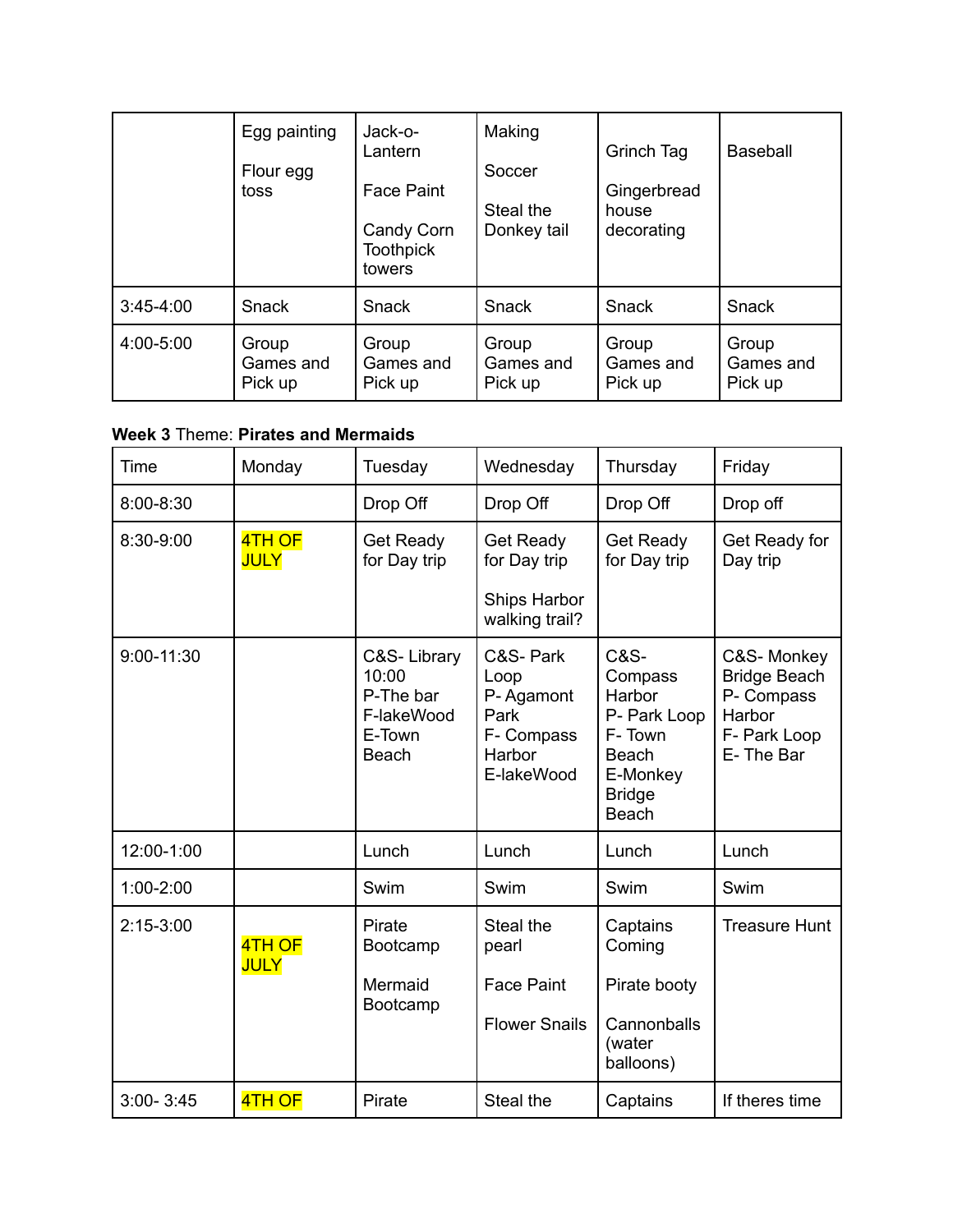|               | Egg painting<br>Flour egg<br>toss | Jack-o-<br>Lantern<br>Face Paint<br>Candy Corn<br><b>Toothpick</b><br>towers | Making<br>Soccer<br>Steal the<br>Donkey tail | Grinch Tag<br>Gingerbread<br>house<br>decorating | <b>Baseball</b>               |
|---------------|-----------------------------------|------------------------------------------------------------------------------|----------------------------------------------|--------------------------------------------------|-------------------------------|
| $3:45-4:00$   | Snack                             | Snack                                                                        | <b>Snack</b>                                 | Snack                                            | Snack                         |
| $4:00 - 5:00$ | Group<br>Games and<br>Pick up     | Group<br>Games and<br>Pick up                                                | Group<br>Games and<br>Pick up                | Group<br>Games and<br>Pick up                    | Group<br>Games and<br>Pick up |

#### **Week 3** Theme: **Pirates and Mermaids**

| Time           | Monday                | Tuesday                                                                   | Wednesday                                                                   | Thursday                                                                                                                    | Friday                                                                                 |
|----------------|-----------------------|---------------------------------------------------------------------------|-----------------------------------------------------------------------------|-----------------------------------------------------------------------------------------------------------------------------|----------------------------------------------------------------------------------------|
| 8:00-8:30      |                       | Drop Off                                                                  | Drop Off                                                                    | Drop Off                                                                                                                    | Drop off                                                                               |
| 8:30-9:00      | 4TH OF<br><b>JULY</b> | Get Ready<br>for Day trip                                                 | Get Ready<br>for Day trip<br><b>Ships Harbor</b><br>walking trail?          | Get Ready<br>for Day trip                                                                                                   | Get Ready for<br>Day trip                                                              |
| $9:00 - 11:30$ |                       | C&S-Library<br>10:00<br>P-The bar<br>F-lakeWood<br>E-Town<br><b>Beach</b> | C&S-Park<br>Loop<br>P-Agamont<br>Park<br>F- Compass<br>Harbor<br>E-lakeWood | <b>C&amp;S-</b><br>Compass<br>Harbor<br>P- Park Loop<br>F-Town<br><b>Beach</b><br>E-Monkey<br><b>Bridge</b><br><b>Beach</b> | C&S-Monkey<br><b>Bridge Beach</b><br>P- Compass<br>Harbor<br>F- Park Loop<br>E-The Bar |
| 12:00-1:00     |                       | Lunch                                                                     | Lunch                                                                       | Lunch                                                                                                                       | Lunch                                                                                  |
| $1:00 - 2:00$  |                       | Swim                                                                      | Swim                                                                        | Swim                                                                                                                        | Swim                                                                                   |
| $2:15-3:00$    | 4TH OF<br><b>JULY</b> | Pirate<br>Bootcamp<br>Mermaid<br>Bootcamp                                 | Steal the<br>pearl<br><b>Face Paint</b><br><b>Flower Snails</b>             | Captains<br>Coming<br>Pirate booty<br>Cannonballs<br>(water<br>balloons)                                                    | <b>Treasure Hunt</b>                                                                   |
| $3:00 - 3:45$  | 4TH OF                | Pirate                                                                    | Steal the                                                                   | Captains                                                                                                                    | If theres time                                                                         |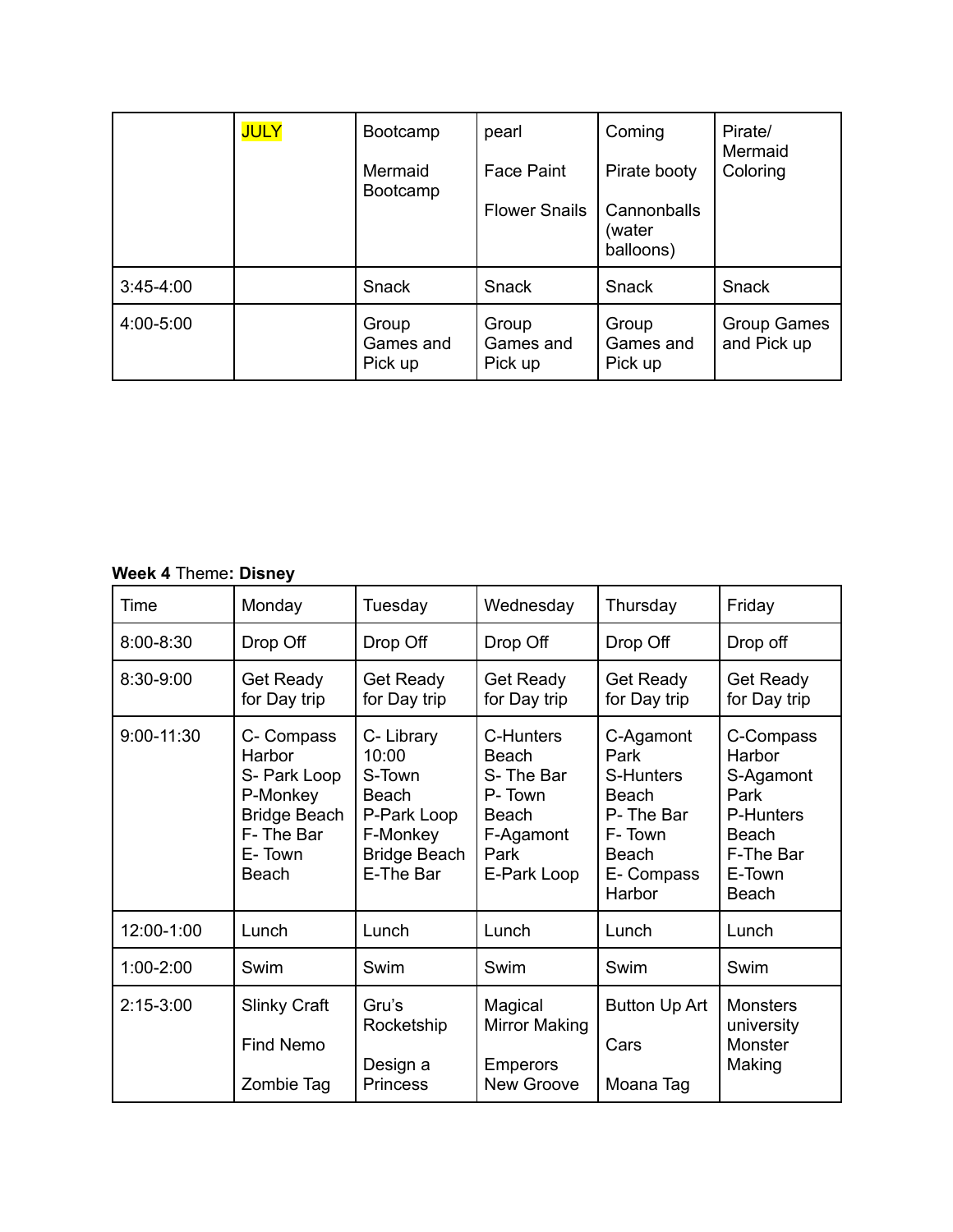|               | <b>JULY</b> | Bootcamp<br>Mermaid<br>Bootcamp | pearl<br><b>Face Paint</b>    | Coming<br>Pirate booty             | Pirate/<br>Mermaid<br>Coloring    |
|---------------|-------------|---------------------------------|-------------------------------|------------------------------------|-----------------------------------|
|               |             |                                 | <b>Flower Snails</b>          | Cannonballs<br>(water<br>balloons) |                                   |
| $3:45-4:00$   |             | Snack                           | Snack                         | Snack                              | Snack                             |
| $4:00 - 5:00$ |             | Group<br>Games and<br>Pick up   | Group<br>Games and<br>Pick up | Group<br>Games and<br>Pick up      | <b>Group Games</b><br>and Pick up |

## **Week 4** Theme**: Disney**

| Time           | Monday                                                                                                  | Tuesday                                                                                              | Wednesday                                                                              | Thursday                                                                                               | Friday                                                                                                |
|----------------|---------------------------------------------------------------------------------------------------------|------------------------------------------------------------------------------------------------------|----------------------------------------------------------------------------------------|--------------------------------------------------------------------------------------------------------|-------------------------------------------------------------------------------------------------------|
| 8:00-8:30      | Drop Off                                                                                                | Drop Off                                                                                             | Drop Off                                                                               | Drop Off                                                                                               | Drop off                                                                                              |
| 8:30-9:00      | Get Ready<br>for Day trip                                                                               | <b>Get Ready</b><br>for Day trip                                                                     | Get Ready<br>for Day trip                                                              | <b>Get Ready</b><br>for Day trip                                                                       | Get Ready<br>for Day trip                                                                             |
| $9:00 - 11:30$ | C- Compass<br>Harbor<br>S- Park Loop<br>P-Monkey<br><b>Bridge Beach</b><br>F-The Bar<br>E-Town<br>Beach | C-Library<br>10:00<br>S-Town<br>Beach<br>P-Park Loop<br>F-Monkey<br><b>Bridge Beach</b><br>E-The Bar | C-Hunters<br>Beach<br>S-The Bar<br>P-Town<br>Beach<br>F-Agamont<br>Park<br>E-Park Loop | C-Agamont<br>Park<br>S-Hunters<br><b>Beach</b><br>P-The Bar<br>F-Town<br>Beach<br>E- Compass<br>Harbor | C-Compass<br>Harbor<br>S-Agamont<br>Park<br>P-Hunters<br>Beach<br>F-The Bar<br>E-Town<br><b>Beach</b> |
| 12:00-1:00     | Lunch                                                                                                   | Lunch                                                                                                | Lunch                                                                                  | Lunch                                                                                                  | Lunch                                                                                                 |
| $1:00-2:00$    | Swim                                                                                                    | Swim                                                                                                 | Swim                                                                                   | Swim                                                                                                   | Swim                                                                                                  |
| $2:15-3:00$    | <b>Slinky Craft</b><br>Find Nemo<br>Zombie Tag                                                          | Gru's<br>Rocketship<br>Design a<br><b>Princess</b>                                                   | Magical<br>Mirror Making<br><b>Emperors</b><br>New Groove                              | <b>Button Up Art</b><br>Cars<br>Moana Tag                                                              | <b>Monsters</b><br>university<br>Monster<br>Making                                                    |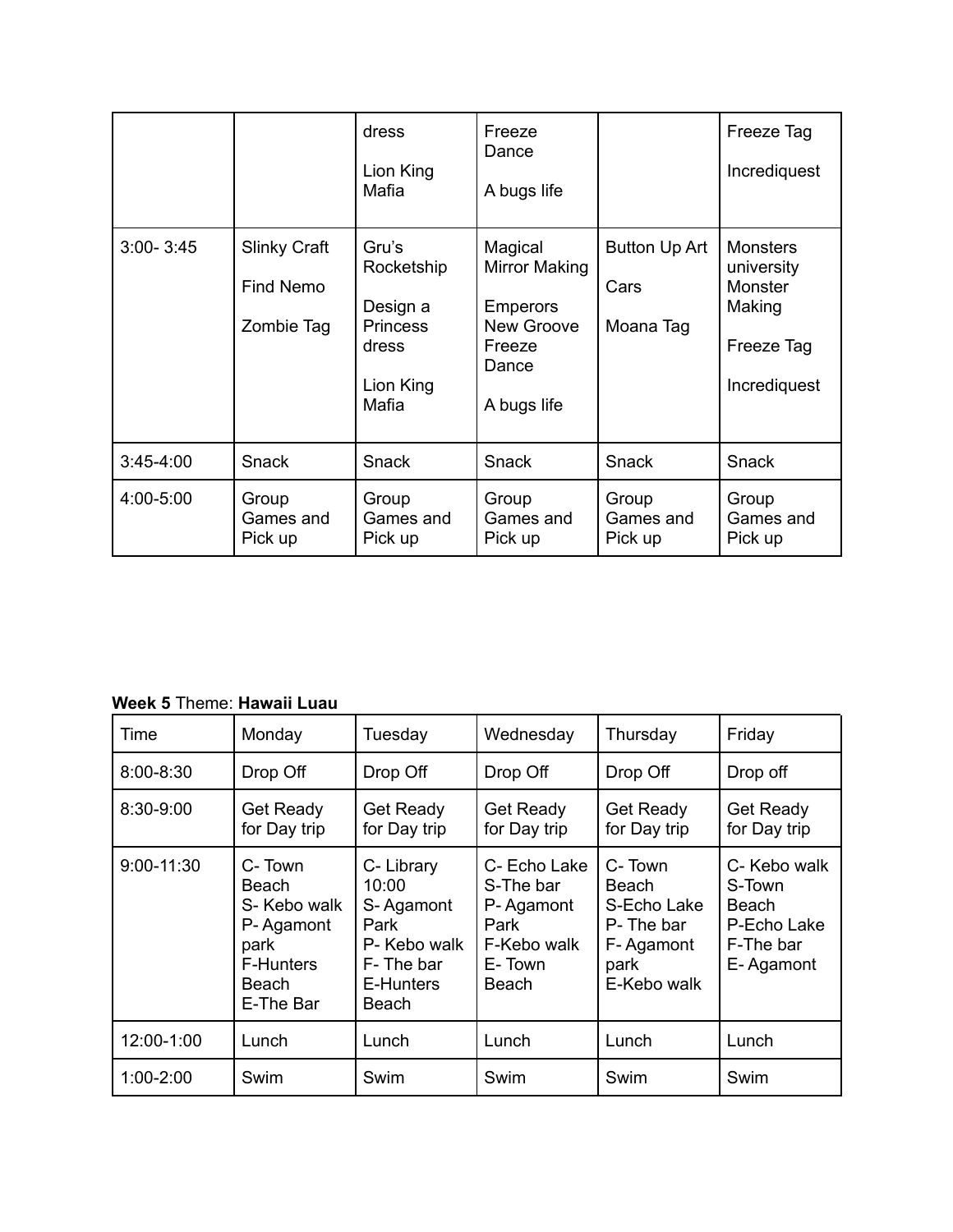|               |                                                | dress<br>Lion King<br>Mafia                                                       | Freeze<br>Dance<br>A bugs life                                                              |                                           | Freeze Tag<br>Incrediquest                                                       |
|---------------|------------------------------------------------|-----------------------------------------------------------------------------------|---------------------------------------------------------------------------------------------|-------------------------------------------|----------------------------------------------------------------------------------|
| $3:00 - 3:45$ | <b>Slinky Craft</b><br>Find Nemo<br>Zombie Tag | Gru's<br>Rocketship<br>Design a<br><b>Princess</b><br>dress<br>Lion King<br>Mafia | Magical<br>Mirror Making<br><b>Emperors</b><br>New Groove<br>Freeze<br>Dance<br>A bugs life | <b>Button Up Art</b><br>Cars<br>Moana Tag | <b>Monsters</b><br>university<br>Monster<br>Making<br>Freeze Tag<br>Incrediquest |
| $3:45-4:00$   | Snack                                          | Snack                                                                             | Snack                                                                                       | Snack                                     | Snack                                                                            |
| 4:00-5:00     | Group<br>Games and<br>Pick up                  | Group<br>Games and<br>Pick up                                                     | Group<br>Games and<br>Pick up                                                               | Group<br>Games and<br>Pick up             | Group<br>Games and<br>Pick up                                                    |

### **Week 5** Theme: **Hawaii Luau**

| Time           | Monday                                                                                         | Tuesday                                                                                    | Wednesday                                                                        | Thursday                                                                        | Friday                                                                   |
|----------------|------------------------------------------------------------------------------------------------|--------------------------------------------------------------------------------------------|----------------------------------------------------------------------------------|---------------------------------------------------------------------------------|--------------------------------------------------------------------------|
| $8:00 - 8:30$  | Drop Off                                                                                       | Drop Off                                                                                   | Drop Off                                                                         | Drop Off                                                                        | Drop off                                                                 |
| 8:30-9:00      | <b>Get Ready</b><br>for Day trip                                                               | Get Ready<br>for Day trip                                                                  | <b>Get Ready</b><br>for Day trip                                                 | Get Ready<br>for Day trip                                                       | <b>Get Ready</b><br>for Day trip                                         |
| $9:00 - 11:30$ | C-Town<br>Beach<br>S- Kebo walk<br>P-Agamont<br>park<br><b>F-Hunters</b><br>Beach<br>E-The Bar | C-Library<br>10:00<br>S-Agamont<br>Park<br>P- Kebo walk<br>F-The bar<br>E-Hunters<br>Beach | C- Echo Lake<br>S-The bar<br>P-Agamont<br>Park<br>F-Kebo walk<br>E-Town<br>Beach | C-Town<br>Beach<br>S-Echo Lake<br>P-The bar<br>F-Agamont<br>park<br>E-Kebo walk | C- Kebo walk<br>S-Town<br>Beach<br>P-Echo Lake<br>F-The bar<br>E-Agamont |
| 12:00-1:00     | Lunch                                                                                          | Lunch                                                                                      | Lunch                                                                            | Lunch                                                                           | Lunch                                                                    |
| $1:00-2:00$    | Swim                                                                                           | Swim                                                                                       | Swim                                                                             | Swim                                                                            | Swim                                                                     |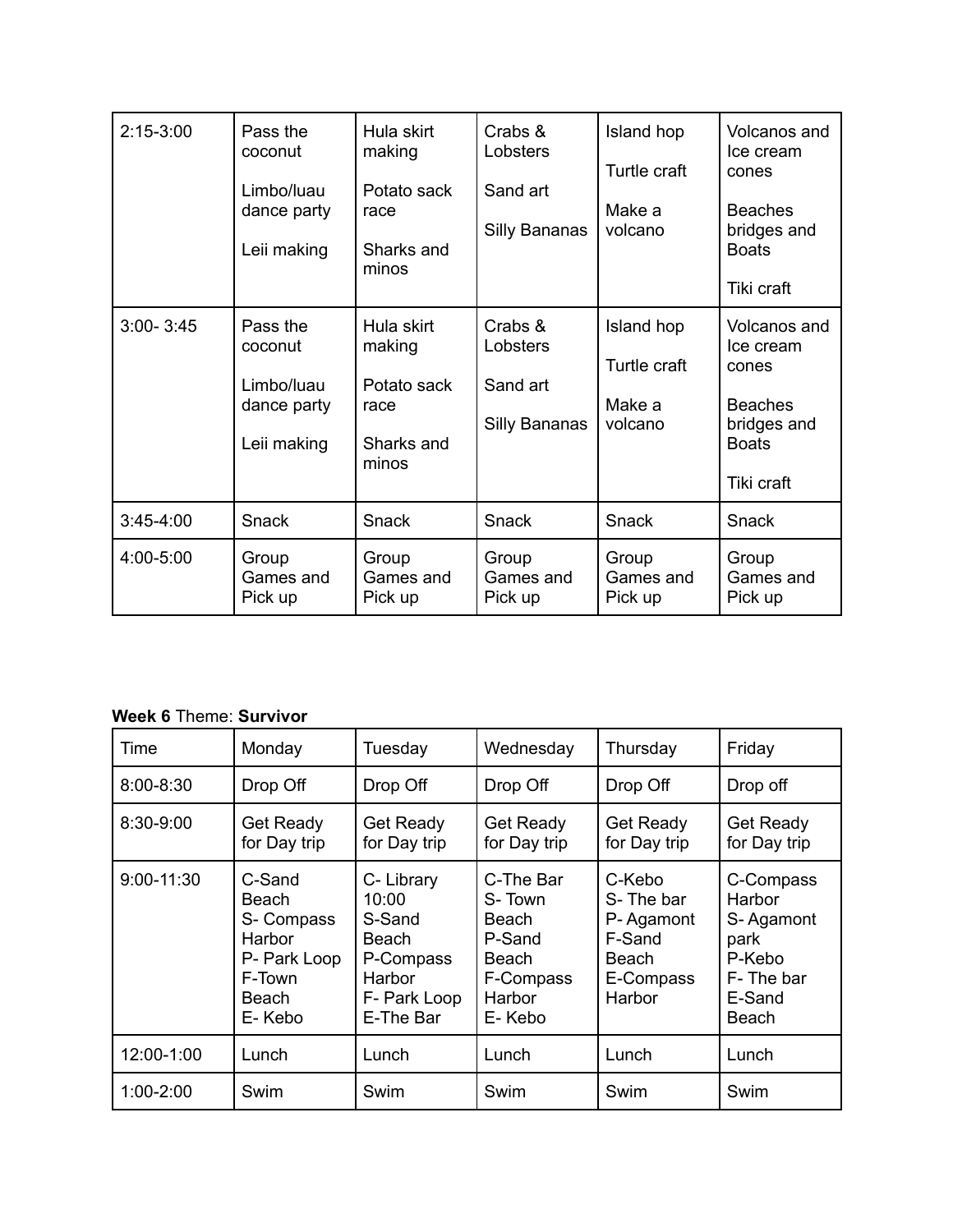| $2:15-3:00$   | Pass the<br>coconut<br>Limbo/luau<br>dance party<br>Leii making | Hula skirt<br>making<br>Potato sack<br>race<br>Sharks and<br>minos | Crabs &<br>Lobsters<br>Sand art<br>Silly Bananas | Island hop<br>Turtle craft<br>Make a<br>volcano | Volcanos and<br>Ice cream<br>cones<br><b>Beaches</b><br>bridges and<br><b>Boats</b><br>Tiki craft |
|---------------|-----------------------------------------------------------------|--------------------------------------------------------------------|--------------------------------------------------|-------------------------------------------------|---------------------------------------------------------------------------------------------------|
| $3:00 - 3:45$ | Pass the<br>coconut<br>Limbo/luau<br>dance party<br>Leii making | Hula skirt<br>making<br>Potato sack<br>race<br>Sharks and<br>minos | Crabs &<br>Lobsters<br>Sand art<br>Silly Bananas | Island hop<br>Turtle craft<br>Make a<br>volcano | Volcanos and<br>Ice cream<br>cones<br><b>Beaches</b><br>bridges and<br><b>Boats</b><br>Tiki craft |
| $3:45-4:00$   | <b>Snack</b>                                                    | <b>Snack</b>                                                       | <b>Snack</b>                                     | <b>Snack</b>                                    | <b>Snack</b>                                                                                      |
| 4:00-5:00     | Group<br>Games and<br>Pick up                                   | Group<br>Games and<br>Pick up                                      | Group<br>Games and<br>Pick up                    | Group<br>Games and<br>Pick up                   | Group<br>Games and<br>Pick up                                                                     |

**Week 6** Theme: **Survivor**

| Time         | Monday                                                                               | Tuesday                                                                                   | Wednesday                                                                        | Thursday                                                                   | Friday                                                                             |
|--------------|--------------------------------------------------------------------------------------|-------------------------------------------------------------------------------------------|----------------------------------------------------------------------------------|----------------------------------------------------------------------------|------------------------------------------------------------------------------------|
| 8:00-8:30    | Drop Off                                                                             | Drop Off                                                                                  | Drop Off                                                                         | Drop Off                                                                   | Drop off                                                                           |
| 8:30-9:00    | Get Ready<br>for Day trip                                                            | <b>Get Ready</b><br>for Day trip                                                          | <b>Get Ready</b><br>for Day trip                                                 | <b>Get Ready</b><br>for Day trip                                           | <b>Get Ready</b><br>for Day trip                                                   |
| $9:00-11:30$ | C-Sand<br>Beach<br>S- Compass<br>Harbor<br>P- Park Loop<br>F-Town<br>Beach<br>E-Kebo | C-Library<br>10:00<br>S-Sand<br>Beach<br>P-Compass<br>Harbor<br>F- Park Loop<br>E-The Bar | C-The Bar<br>S-Town<br>Beach<br>P-Sand<br>Beach<br>F-Compass<br>Harbor<br>E-Kebo | C-Kebo<br>S-The bar<br>P-Agamont<br>F-Sand<br>Beach<br>E-Compass<br>Harbor | C-Compass<br>Harbor<br>S-Agamont<br>park<br>P-Kebo<br>F-The bar<br>E-Sand<br>Beach |
| 12:00-1:00   | Lunch                                                                                | Lunch                                                                                     | Lunch                                                                            | Lunch                                                                      | Lunch                                                                              |
| $1:00-2:00$  | Swim                                                                                 | Swim                                                                                      | Swim                                                                             | Swim                                                                       | Swim                                                                               |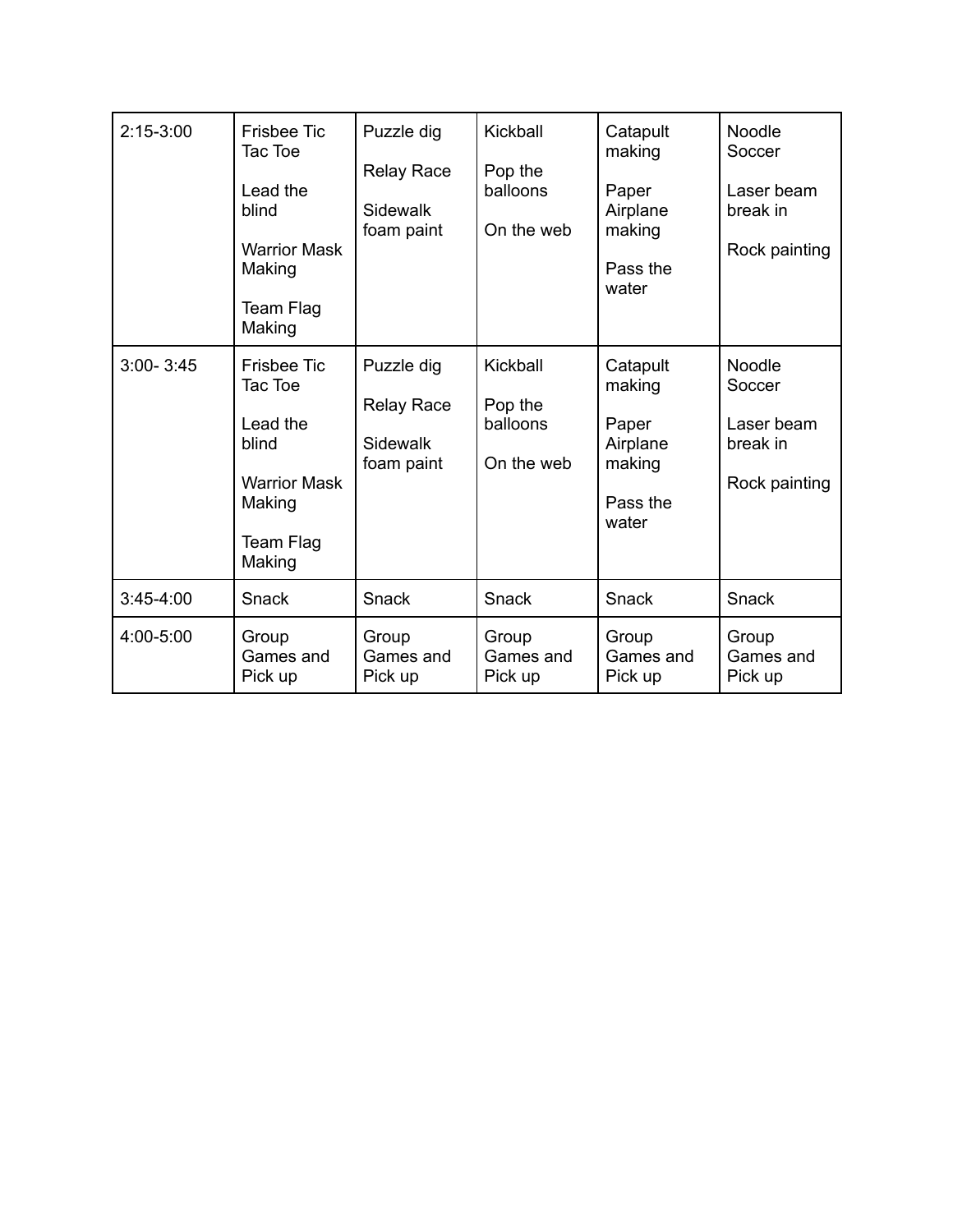| $2:15-3:00$   | <b>Frisbee Tic</b><br>Tac Toe<br>Lead the<br>blind<br><b>Warrior Mask</b><br>Making<br><b>Team Flag</b><br>Making | Puzzle dig<br><b>Relay Race</b><br>Sidewalk<br>foam paint | Kickball<br>Pop the<br>balloons<br>On the web | Catapult<br>making<br>Paper<br>Airplane<br>making<br>Pass the<br>water | Noodle<br>Soccer<br>Laser beam<br>break in<br>Rock painting        |
|---------------|-------------------------------------------------------------------------------------------------------------------|-----------------------------------------------------------|-----------------------------------------------|------------------------------------------------------------------------|--------------------------------------------------------------------|
| $3:00 - 3:45$ | <b>Frisbee Tic</b><br>Tac Toe<br>Lead the<br>blind<br><b>Warrior Mask</b><br>Making<br>Team Flag<br>Making        | Puzzle dig<br><b>Relay Race</b><br>Sidewalk<br>foam paint | Kickball<br>Pop the<br>balloons<br>On the web | Catapult<br>making<br>Paper<br>Airplane<br>making<br>Pass the<br>water | <b>Noodle</b><br>Soccer<br>Laser beam<br>break in<br>Rock painting |
| $3:45-4:00$   | Snack                                                                                                             | <b>Snack</b>                                              | <b>Snack</b>                                  | Snack                                                                  | Snack                                                              |
| 4:00-5:00     | Group<br>Games and<br>Pick up                                                                                     | Group<br>Games and<br>Pick up                             | Group<br>Games and<br>Pick up                 | Group<br>Games and<br>Pick up                                          | Group<br>Games and<br>Pick up                                      |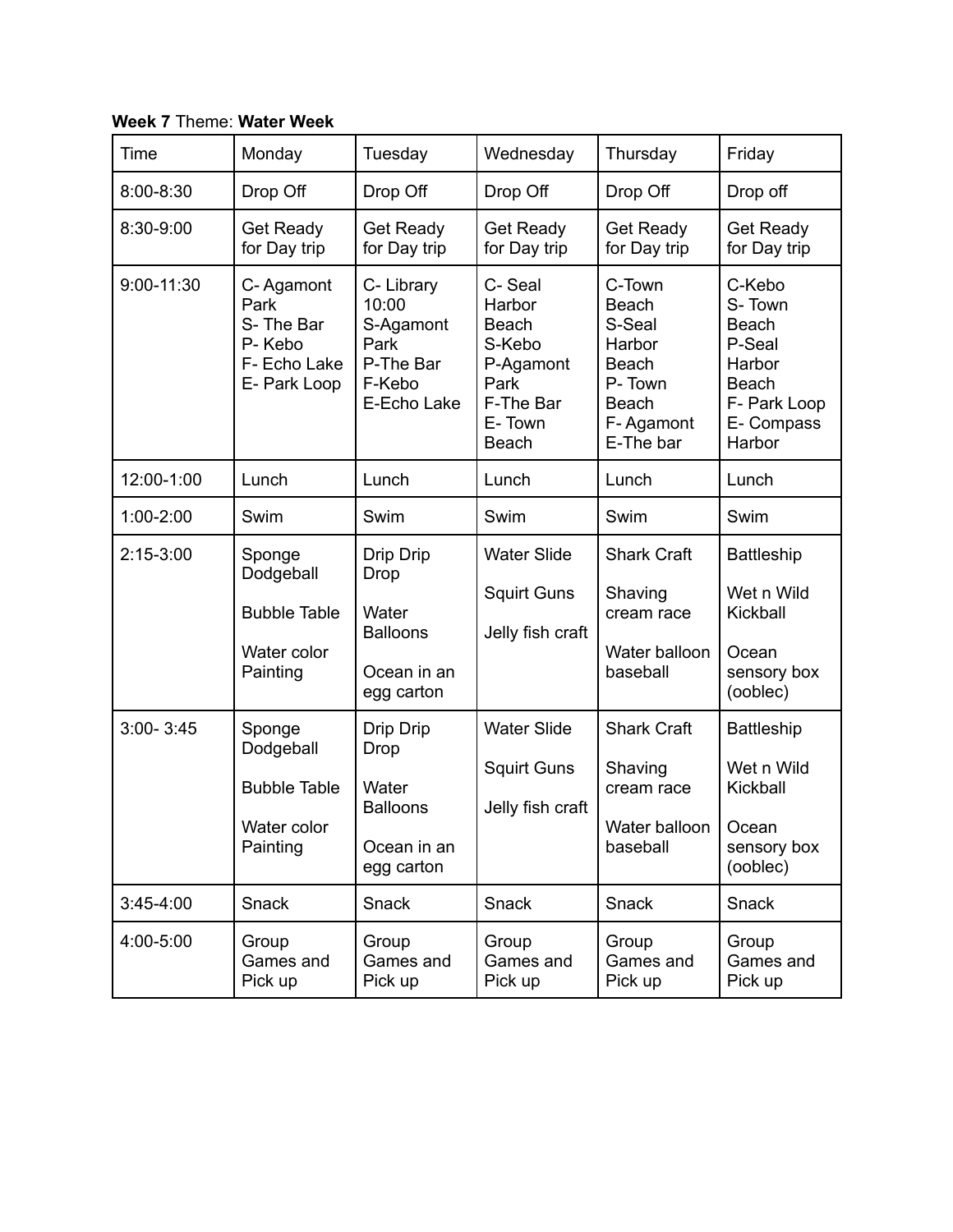**Week 7** Theme: **Water Week**

| Time           | Monday                                                                   | Tuesday                                                                       | Wednesday                                                                                       | Thursday                                                                                                       | Friday                                                                                                |
|----------------|--------------------------------------------------------------------------|-------------------------------------------------------------------------------|-------------------------------------------------------------------------------------------------|----------------------------------------------------------------------------------------------------------------|-------------------------------------------------------------------------------------------------------|
| 8:00-8:30      | Drop Off                                                                 | Drop Off                                                                      | Drop Off                                                                                        | Drop Off                                                                                                       | Drop off                                                                                              |
| 8:30-9:00      | <b>Get Ready</b><br>for Day trip                                         | <b>Get Ready</b><br>for Day trip                                              | Get Ready<br>for Day trip                                                                       | <b>Get Ready</b><br>for Day trip                                                                               | <b>Get Ready</b><br>for Day trip                                                                      |
| $9:00 - 11:30$ | C-Agamont<br>Park<br>S-The Bar<br>P-Kebo<br>F- Echo Lake<br>E- Park Loop | C-Library<br>10:00<br>S-Agamont<br>Park<br>P-The Bar<br>F-Kebo<br>E-Echo Lake | C-Seal<br>Harbor<br>Beach<br>S-Kebo<br>P-Agamont<br>Park<br>F-The Bar<br>E-Town<br><b>Beach</b> | C-Town<br><b>Beach</b><br>S-Seal<br>Harbor<br><b>Beach</b><br>P-Town<br><b>Beach</b><br>F-Agamont<br>E-The bar | C-Kebo<br>S-Town<br><b>Beach</b><br>P-Seal<br>Harbor<br>Beach<br>F- Park Loop<br>E- Compass<br>Harbor |
| 12:00-1:00     | Lunch                                                                    | Lunch                                                                         | Lunch                                                                                           | Lunch                                                                                                          | Lunch                                                                                                 |
| $1:00 - 2:00$  | Swim                                                                     | Swim                                                                          | Swim                                                                                            | Swim                                                                                                           | Swim                                                                                                  |
| $2:15-3:00$    | Sponge<br>Dodgeball<br><b>Bubble Table</b><br>Water color<br>Painting    | Drip Drip<br>Drop<br>Water<br><b>Balloons</b><br>Ocean in an<br>egg carton    | <b>Water Slide</b><br><b>Squirt Guns</b><br>Jelly fish craft                                    | <b>Shark Craft</b><br>Shaving<br>cream race<br>Water balloon<br>baseball                                       | <b>Battleship</b><br>Wet n Wild<br>Kickball<br>Ocean<br>sensory box<br>(ooblec)                       |
| $3:00 - 3:45$  | Sponge<br>Dodgeball<br><b>Bubble Table</b><br>Water color<br>Painting    | Drip Drip<br>Drop<br>Water<br><b>Balloons</b><br>Ocean in an<br>egg carton    | <b>Water Slide</b><br><b>Squirt Guns</b><br>Jelly fish craft                                    | <b>Shark Craft</b><br>Shaving<br>cream race<br>Water balloon   Ocean<br>baseball                               | <b>Battleship</b><br>Wet n Wild<br>Kickball<br>sensory box<br>(ooblec)                                |
| $3:45-4:00$    | Snack                                                                    | Snack                                                                         | Snack                                                                                           | Snack                                                                                                          | Snack                                                                                                 |
| 4:00-5:00      | Group<br>Games and<br>Pick up                                            | Group<br>Games and<br>Pick up                                                 | Group<br>Games and<br>Pick up                                                                   | Group<br>Games and<br>Pick up                                                                                  | Group<br>Games and<br>Pick up                                                                         |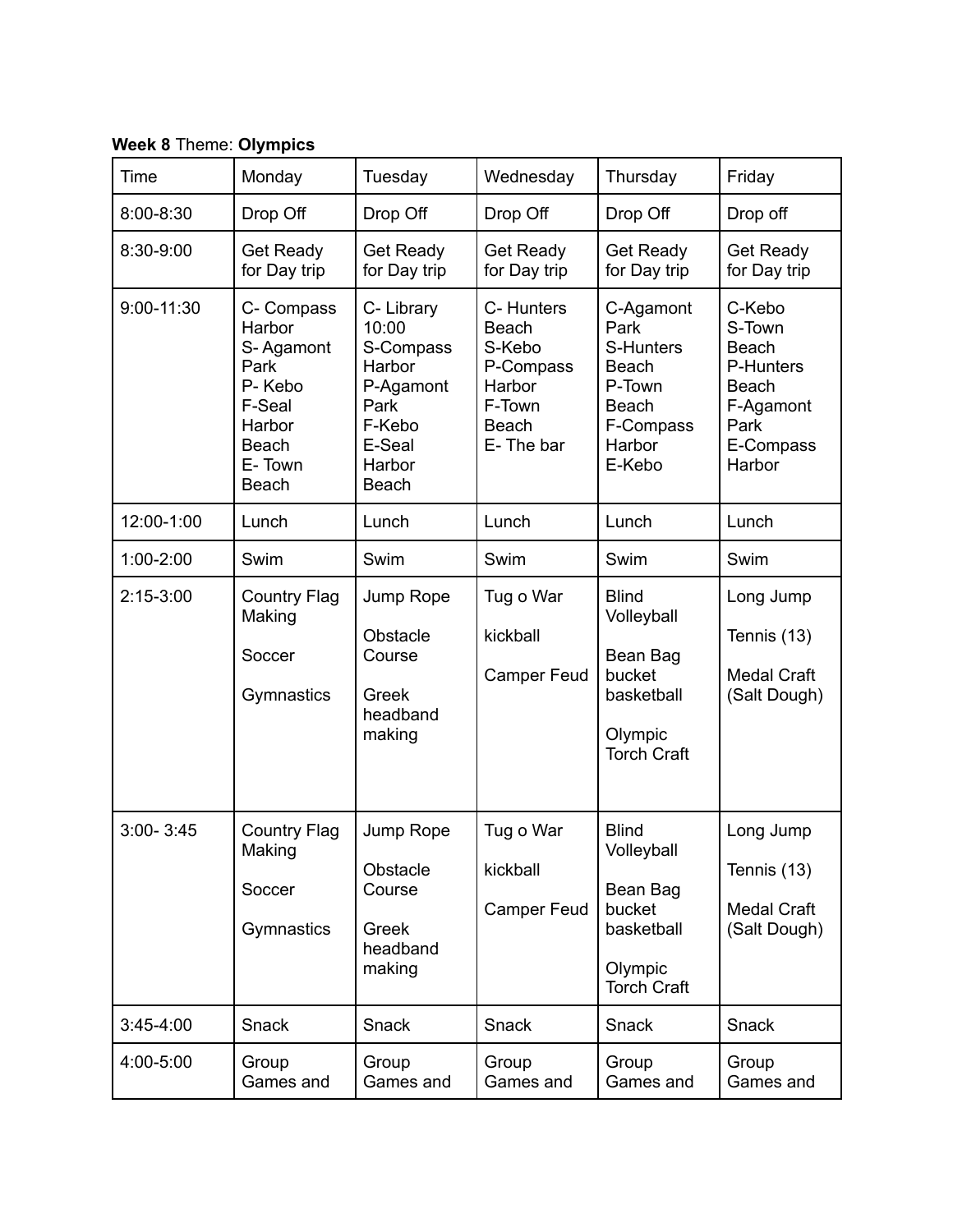**Week 8** Theme: **Olympics**

| Time          | Monday                                                                                                            | Tuesday                                                                                                      | Wednesday                                                                                         | Thursday                                                                                           | Friday                                                                                             |
|---------------|-------------------------------------------------------------------------------------------------------------------|--------------------------------------------------------------------------------------------------------------|---------------------------------------------------------------------------------------------------|----------------------------------------------------------------------------------------------------|----------------------------------------------------------------------------------------------------|
| 8:00-8:30     | Drop Off                                                                                                          | Drop Off                                                                                                     | Drop Off                                                                                          | Drop Off                                                                                           | Drop off                                                                                           |
| 8:30-9:00     | <b>Get Ready</b><br>for Day trip                                                                                  | <b>Get Ready</b><br>for Day trip                                                                             | Get Ready<br>for Day trip                                                                         | <b>Get Ready</b><br>for Day trip                                                                   | Get Ready<br>for Day trip                                                                          |
| $9:00-11:30$  | C- Compass<br>Harbor<br>S-Agamont<br>Park<br>P-Kebo<br><b>F-Seal</b><br>Harbor<br>Beach<br>E-Town<br><b>Beach</b> | C-Library<br>10:00<br>S-Compass<br>Harbor<br>P-Agamont<br>Park<br>F-Kebo<br>E-Seal<br>Harbor<br><b>Beach</b> | C-Hunters<br><b>Beach</b><br>S-Kebo<br>P-Compass<br>Harbor<br>F-Town<br><b>Beach</b><br>E-The bar | C-Agamont<br>Park<br>S-Hunters<br><b>Beach</b><br>P-Town<br>Beach<br>F-Compass<br>Harbor<br>E-Kebo | C-Kebo<br>S-Town<br><b>Beach</b><br>P-Hunters<br>Beach<br>F-Agamont<br>Park<br>E-Compass<br>Harbor |
| 12:00-1:00    | Lunch                                                                                                             | Lunch                                                                                                        | Lunch                                                                                             | Lunch                                                                                              | Lunch                                                                                              |
| 1:00-2:00     | Swim                                                                                                              | Swim                                                                                                         | Swim                                                                                              | Swim                                                                                               | Swim                                                                                               |
| $2:15-3:00$   | <b>Country Flag</b><br>Making<br>Soccer<br>Gymnastics                                                             | Jump Rope<br>Obstacle<br>Course<br>Greek<br>headband<br>making                                               | Tug o War<br>kickball<br><b>Camper Feud</b>                                                       | <b>Blind</b><br>Volleyball<br>Bean Bag<br>bucket<br>basketball<br>Olympic<br><b>Torch Craft</b>    | Long Jump<br>Tennis (13)<br><b>Medal Craft</b><br>(Salt Dough)                                     |
| $3:00 - 3:45$ | <b>Country Flag</b><br>Making<br>Soccer<br>Gymnastics                                                             | Jump Rope<br>Obstacle<br>Course<br>Greek<br>headband<br>making                                               | Tug o War<br>kickball<br><b>Camper Feud</b>                                                       | <b>Blind</b><br>Volleyball<br>Bean Bag<br>bucket<br>basketball<br>Olympic<br><b>Torch Craft</b>    | Long Jump<br>Tennis (13)<br><b>Medal Craft</b><br>(Salt Dough)                                     |
| $3:45-4:00$   | Snack                                                                                                             | <b>Snack</b>                                                                                                 | Snack                                                                                             | Snack                                                                                              | Snack                                                                                              |
| 4:00-5:00     | Group<br>Games and                                                                                                | Group<br>Games and                                                                                           | Group<br>Games and                                                                                | Group<br>Games and                                                                                 | Group<br>Games and                                                                                 |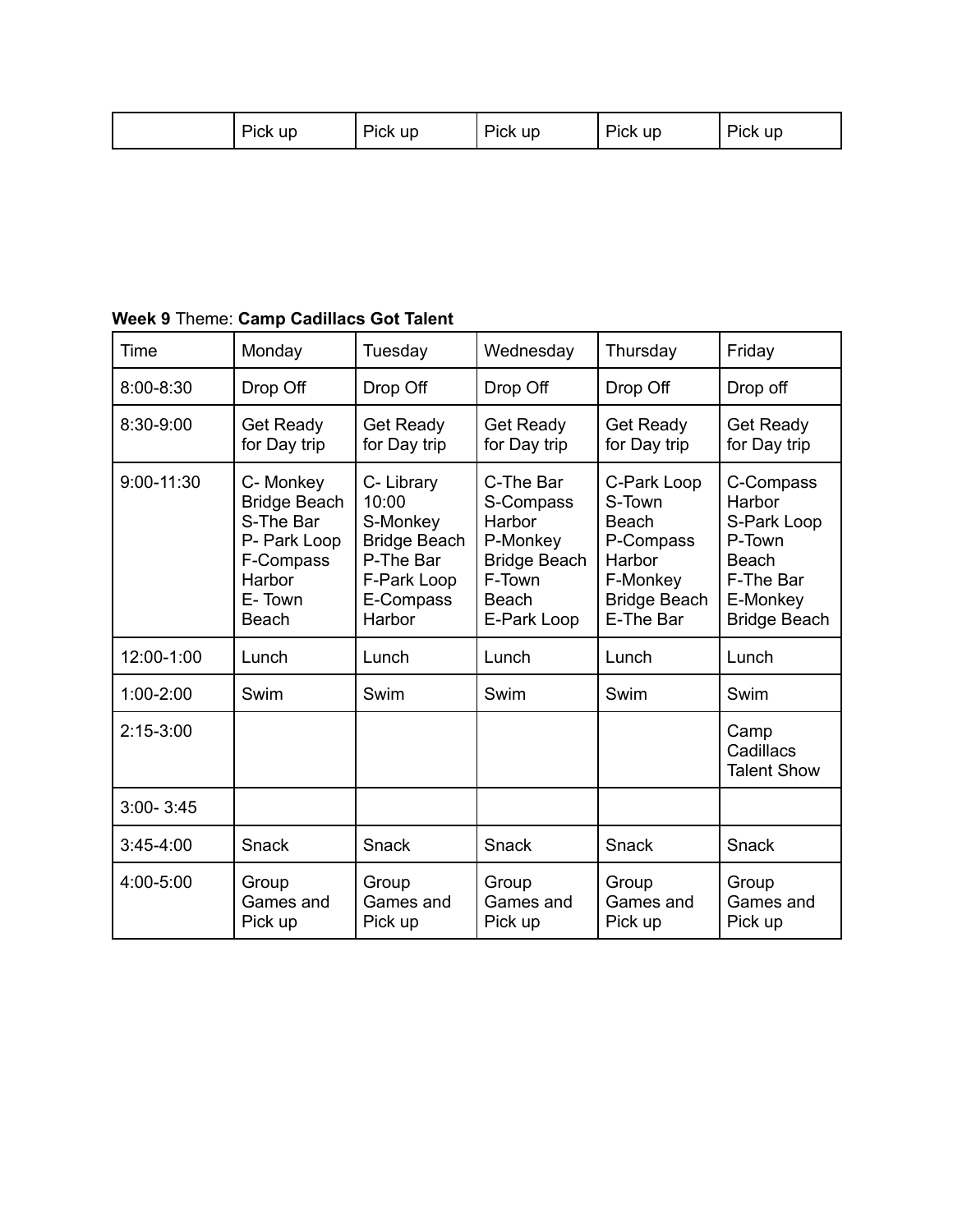| --<br>÷.<br>up<br>ur<br><b>PICK</b><br>'ICK | $\sim$<br><b>Pick up</b> | $-$<br>up<br>⊃ick | <b>Pick</b><br>up |
|---------------------------------------------|--------------------------|-------------------|-------------------|
|---------------------------------------------|--------------------------|-------------------|-------------------|

# **Week 9** Theme: **Camp Cadillacs Got Talent**

| Time           | Monday                                                                                                        | Tuesday                                                                                                  | Wednesday                                                                                                    | Thursday                                                                                                     | Friday                                                                                                |
|----------------|---------------------------------------------------------------------------------------------------------------|----------------------------------------------------------------------------------------------------------|--------------------------------------------------------------------------------------------------------------|--------------------------------------------------------------------------------------------------------------|-------------------------------------------------------------------------------------------------------|
| 8:00-8:30      | Drop Off                                                                                                      | Drop Off                                                                                                 | Drop Off                                                                                                     | Drop Off                                                                                                     | Drop off                                                                                              |
| 8:30-9:00      | <b>Get Ready</b><br>for Day trip                                                                              | <b>Get Ready</b><br>for Day trip                                                                         | Get Ready<br>for Day trip                                                                                    | <b>Get Ready</b><br>for Day trip                                                                             | Get Ready<br>for Day trip                                                                             |
| $9:00 - 11:30$ | C-Monkey<br><b>Bridge Beach</b><br>S-The Bar<br>P- Park Loop<br>F-Compass<br>Harbor<br>E-Town<br><b>Beach</b> | C-Library<br>10:00<br>S-Monkey<br><b>Bridge Beach</b><br>P-The Bar<br>F-Park Loop<br>E-Compass<br>Harbor | C-The Bar<br>S-Compass<br>Harbor<br>P-Monkey<br><b>Bridge Beach</b><br>F-Town<br><b>Beach</b><br>E-Park Loop | C-Park Loop<br>S-Town<br><b>Beach</b><br>P-Compass<br>Harbor<br>F-Monkey<br><b>Bridge Beach</b><br>E-The Bar | C-Compass<br>Harbor<br>S-Park Loop<br>P-Town<br>Beach<br>F-The Bar<br>E-Monkey<br><b>Bridge Beach</b> |
| 12:00-1:00     | Lunch                                                                                                         | Lunch                                                                                                    | Lunch                                                                                                        | Lunch                                                                                                        | Lunch                                                                                                 |
| $1:00 - 2:00$  | Swim                                                                                                          | Swim                                                                                                     | Swim                                                                                                         | Swim                                                                                                         | Swim                                                                                                  |
| $2:15-3:00$    |                                                                                                               |                                                                                                          |                                                                                                              |                                                                                                              | Camp<br>Cadillacs<br><b>Talent Show</b>                                                               |
| $3:00 - 3:45$  |                                                                                                               |                                                                                                          |                                                                                                              |                                                                                                              |                                                                                                       |
| $3:45-4:00$    | Snack                                                                                                         | Snack                                                                                                    | Snack                                                                                                        | <b>Snack</b>                                                                                                 | Snack                                                                                                 |
| 4:00-5:00      | Group<br>Games and<br>Pick up                                                                                 | Group<br>Games and<br>Pick up                                                                            | Group<br>Games and<br>Pick up                                                                                | Group<br>Games and<br>Pick up                                                                                | Group<br>Games and<br>Pick up                                                                         |